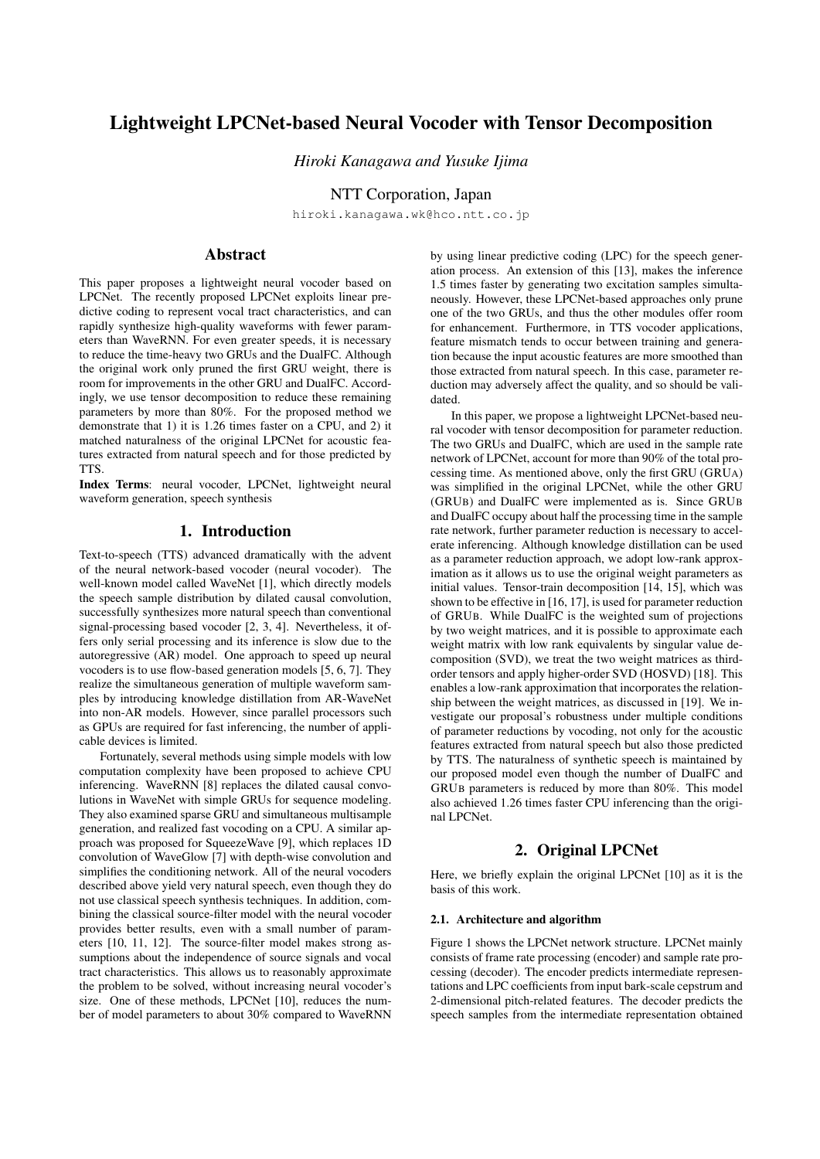# Lightweight LPCNet-based Neural Vocoder with Tensor Decomposition

*Hiroki Kanagawa and Yusuke Ijima*

NTT Corporation, Japan

hiroki.kanagawa.wk@hco.ntt.co.jp

# Abstract

This paper proposes a lightweight neural vocoder based on LPCNet. The recently proposed LPCNet exploits linear predictive coding to represent vocal tract characteristics, and can rapidly synthesize high-quality waveforms with fewer parameters than WaveRNN. For even greater speeds, it is necessary to reduce the time-heavy two GRUs and the DualFC. Although the original work only pruned the first GRU weight, there is room for improvements in the other GRU and DualFC. Accordingly, we use tensor decomposition to reduce these remaining parameters by more than 80%. For the proposed method we demonstrate that 1) it is 1.26 times faster on a CPU, and 2) it matched naturalness of the original LPCNet for acoustic features extracted from natural speech and for those predicted by TTS.

Index Terms: neural vocoder, LPCNet, lightweight neural waveform generation, speech synthesis

## 1. Introduction

Text-to-speech (TTS) advanced dramatically with the advent of the neural network-based vocoder (neural vocoder). The well-known model called WaveNet [1], which directly models the speech sample distribution by dilated causal convolution, successfully synthesizes more natural speech than conventional signal-processing based vocoder [2, 3, 4]. Nevertheless, it offers only serial processing and its inference is slow due to the autoregressive (AR) model. One approach to speed up neural vocoders is to use flow-based generation models [5, 6, 7]. They realize the simultaneous generation of multiple waveform samples by introducing knowledge distillation from AR-WaveNet into non-AR models. However, since parallel processors such as GPUs are required for fast inferencing, the number of applicable devices is limited.

Fortunately, several methods using simple models with low computation complexity have been proposed to achieve CPU inferencing. WaveRNN [8] replaces the dilated causal convolutions in WaveNet with simple GRUs for sequence modeling. They also examined sparse GRU and simultaneous multisample generation, and realized fast vocoding on a CPU. A similar approach was proposed for SqueezeWave [9], which replaces 1D convolution of WaveGlow [7] with depth-wise convolution and simplifies the conditioning network. All of the neural vocoders described above yield very natural speech, even though they do not use classical speech synthesis techniques. In addition, combining the classical source-filter model with the neural vocoder provides better results, even with a small number of parameters [10, 11, 12]. The source-filter model makes strong assumptions about the independence of source signals and vocal tract characteristics. This allows us to reasonably approximate the problem to be solved, without increasing neural vocoder's size. One of these methods, LPCNet [10], reduces the number of model parameters to about 30% compared to WaveRNN

by using linear predictive coding (LPC) for the speech generation process. An extension of this [13], makes the inference 1.5 times faster by generating two excitation samples simultaneously. However, these LPCNet-based approaches only prune one of the two GRUs, and thus the other modules offer room for enhancement. Furthermore, in TTS vocoder applications, feature mismatch tends to occur between training and generation because the input acoustic features are more smoothed than those extracted from natural speech. In this case, parameter reduction may adversely affect the quality, and so should be validated.

In this paper, we propose a lightweight LPCNet-based neural vocoder with tensor decomposition for parameter reduction. The two GRUs and DualFC, which are used in the sample rate network of LPCNet, account for more than 90% of the total processing time. As mentioned above, only the first GRU (GRUA) was simplified in the original LPCNet, while the other GRU (GRUB) and DualFC were implemented as is. Since GRUB and DualFC occupy about half the processing time in the sample rate network, further parameter reduction is necessary to accelerate inferencing. Although knowledge distillation can be used as a parameter reduction approach, we adopt low-rank approximation as it allows us to use the original weight parameters as initial values. Tensor-train decomposition [14, 15], which was shown to be effective in [16, 17], is used for parameter reduction of GRUB. While DualFC is the weighted sum of projections by two weight matrices, and it is possible to approximate each weight matrix with low rank equivalents by singular value decomposition (SVD), we treat the two weight matrices as thirdorder tensors and apply higher-order SVD (HOSVD) [18]. This enables a low-rank approximation that incorporates the relationship between the weight matrices, as discussed in [19]. We investigate our proposal's robustness under multiple conditions of parameter reductions by vocoding, not only for the acoustic features extracted from natural speech but also those predicted by TTS. The naturalness of synthetic speech is maintained by our proposed model even though the number of DualFC and GRUB parameters is reduced by more than 80%. This model also achieved 1.26 times faster CPU inferencing than the original LPCNet.

# 2. Original LPCNet

Here, we briefly explain the original LPCNet [10] as it is the basis of this work.

### 2.1. Architecture and algorithm

Figure 1 shows the LPCNet network structure. LPCNet mainly consists of frame rate processing (encoder) and sample rate processing (decoder). The encoder predicts intermediate representations and LPC coefficients from input bark-scale cepstrum and 2-dimensional pitch-related features. The decoder predicts the speech samples from the intermediate representation obtained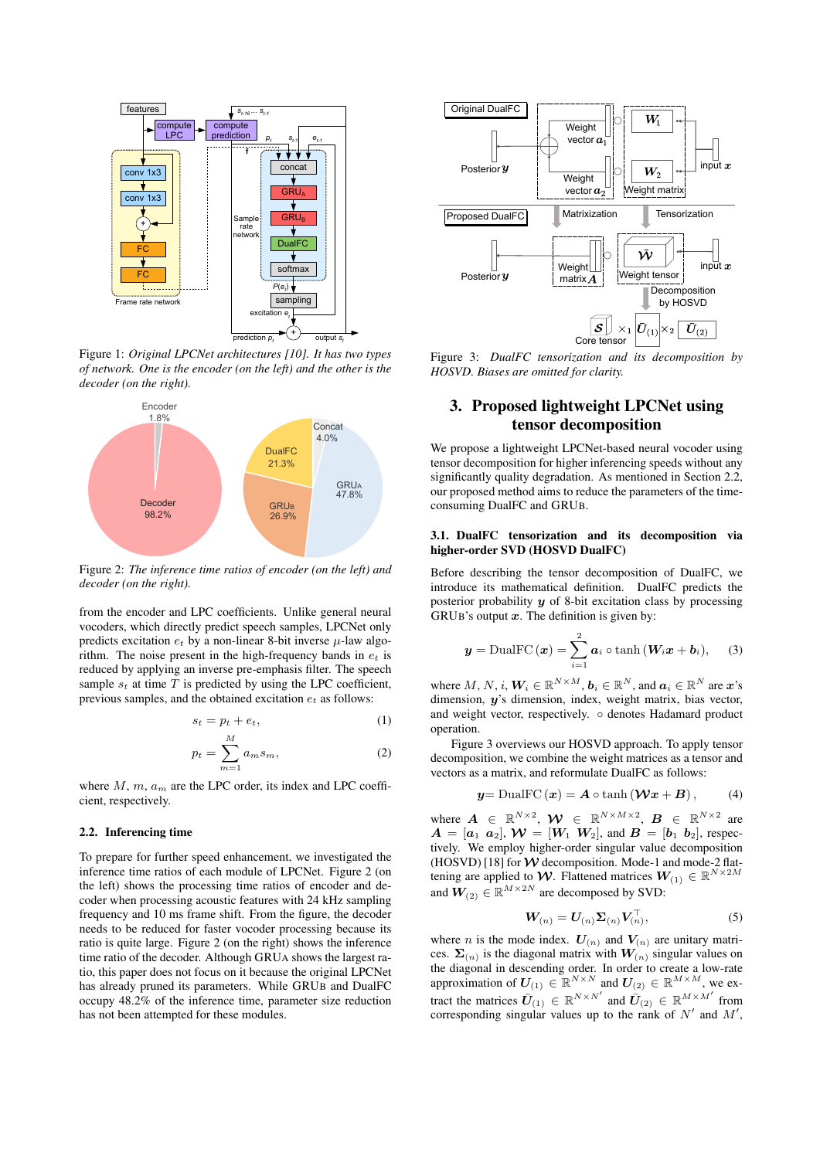

Figure 1: *Original LPCNet architectures [10]. It has two types of network. One is the encoder (on the left) and the other is the decoder (on the right).*



Figure 2: *The inference time ratios of encoder (on the left) and decoder (on the right).*

from the encoder and LPC coefficients. Unlike general neural vocoders, which directly predict speech samples, LPCNet only predicts excitation  $e_t$  by a non-linear 8-bit inverse  $\mu$ -law algorithm. The noise present in the high-frequency bands in *e<sup>t</sup>* is reduced by applying an inverse pre-emphasis filter. The speech sample  $s_t$  at time  $T$  is predicted by using the LPC coefficient, previous samples, and the obtained excitation *e<sup>t</sup>* as follows:

$$
s_t = p_t + e_t,\tag{1}
$$

$$
p_t = \sum_{m=1}^{M} a_m s_m,
$$
 (2)

where *M*, *m*, *a<sup>m</sup>* are the LPC order, its index and LPC coefficient, respectively.

### 2.2. Inferencing time

To prepare for further speed enhancement, we investigated the inference time ratios of each module of LPCNet. Figure 2 (on the left) shows the processing time ratios of encoder and decoder when processing acoustic features with 24 kHz sampling frequency and 10 ms frame shift. From the figure, the decoder needs to be reduced for faster vocoder processing because its ratio is quite large. Figure 2 (on the right) shows the inference time ratio of the decoder. Although GRUA shows the largest ratio, this paper does not focus on it because the original LPCNet has already pruned its parameters. While GRUB and DualFC occupy 48.2% of the inference time, parameter size reduction has not been attempted for these modules.



Figure 3: *DualFC tensorization and its decomposition by HOSVD. Biases are omitted for clarity.*

# 3. Proposed lightweight LPCNet using tensor decomposition

We propose a lightweight LPCNet-based neural vocoder using tensor decomposition for higher inferencing speeds without any significantly quality degradation. As mentioned in Section 2.2, our proposed method aims to reduce the parameters of the timeconsuming DualFC and GRUB.

## 3.1. DualFC tensorization and its decomposition via higher-order SVD (HOSVD DualFC)

Before describing the tensor decomposition of DualFC, we introduce its mathematical definition. DualFC predicts the posterior probability *y* of 8-bit excitation class by processing GRUB's output *x*. The definition is given by:

$$
\boldsymbol{y} = \text{DualFC}(\boldsymbol{x}) = \sum_{i=1}^{2} \boldsymbol{a}_i \circ \tanh(\boldsymbol{W}_i \boldsymbol{x} + \boldsymbol{b}_i), \quad (3)
$$

where  $M, N, i$ ,  $W_i \in \mathbb{R}^{N \times M}$ ,  $b_i \in \mathbb{R}^N$ , and  $a_i \in \mathbb{R}^N$  are  $x$ 's dimension, *y*'s dimension, index, weight matrix, bias vector, and weight vector, respectively. *◦* denotes Hadamard product operation.

Figure 3 overviews our HOSVD approach. To apply tensor decomposition, we combine the weight matrices as a tensor and vectors as a matrix, and reformulate DualFC as follows:

$$
y = \text{DualFC}(\boldsymbol{x}) = \boldsymbol{A} \circ \tanh\left(\boldsymbol{\mathcal{W}}\boldsymbol{x} + \boldsymbol{B}\right),\qquad(4)
$$

where  $\mathbf{A} \in \mathbb{R}^{N \times 2}$ ,  $\mathbf{W} \in \mathbb{R}^{N \times M \times 2}$ ,  $\mathbf{B} \in \mathbb{R}^{N \times 2}$  are  $A = [a_1 \ a_2], W = [W_1 \ W_2],$  and  $B = [b_1 \ b_2],$  respectively. We employ higher-order singular value decomposition (HOSVD) [18] for  $W$  decomposition. Mode-1 and mode-2 flattening are applied to *W*. Flattened matrices  $W_{(1)} \in \mathbb{R}^{N \times 2M}$ and  $W_{(2)} \in \mathbb{R}^{M \times 2N}$  are decomposed by SVD:

$$
\mathbf{W}_{(n)} = \mathbf{U}_{(n)} \mathbf{\Sigma}_{(n)} \mathbf{V}_{(n)}^{\perp}, \tag{5}
$$

where *n* is the mode index.  $U_{(n)}$  and  $V_{(n)}$  are unitary matrices.  $\Sigma(n)$  is the diagonal matrix with  $W(n)$  singular values on the diagonal in descending order. In order to create a low-rate approximation of  $U_{(1)} \in \mathbb{R}^{N \times N}$  and  $U_{(2)} \in \mathbb{R}^{M \times M}$ , we extract the matrices  $\bar{U}_{(1)} \in \mathbb{R}^{N \times N'}$  and  $\bar{U}_{(2)} \in \mathbb{R}^{M \times M'}$  from corresponding singular values up to the rank of  $N'$  and  $M'$ ,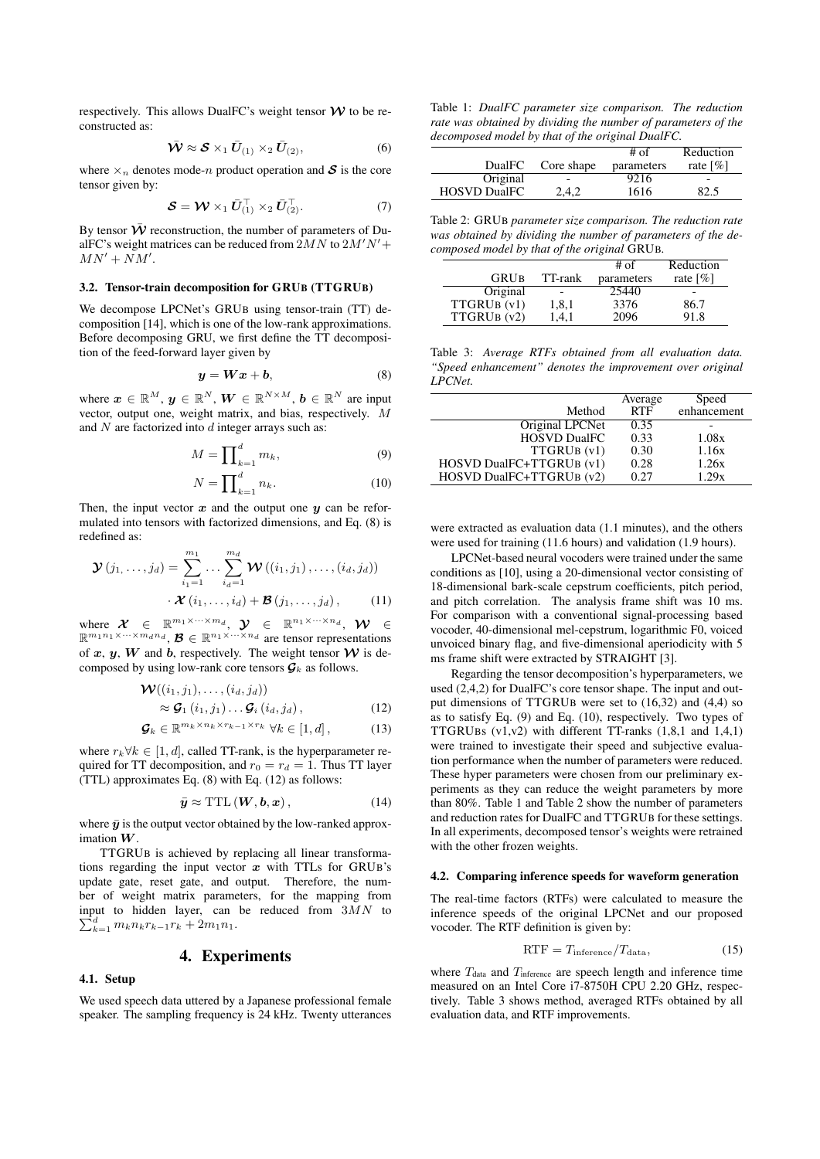respectively. This allows DualFC's weight tensor  $W$  to be reconstructed as:

$$
\bar{\mathbf{W}} \approx \mathbf{S} \times_1 \bar{\mathbf{U}}_{(1)} \times_2 \bar{\mathbf{U}}_{(2)},
$$
\n(6)

where  $\times_n$  denotes mode-*n* product operation and S is the core tensor given by:

$$
\mathcal{S} = \mathcal{W} \times_1 \bar{U}_{(1)}^{\top} \times_2 \bar{U}_{(2)}^{\top}.
$$
 (7)

By tensor  $\overline{\mathbf{\mathcal{W}}}$  reconstruction, the number of parameters of DualFC's weight matrices can be reduced from 2*MN* to 2*M′N ′*+  $MN' + NM'$ .

## 3.2. Tensor-train decomposition for GRUB (TTGRUB)

We decompose LPCNet's GRUB using tensor-train (TT) decomposition [14], which is one of the low-rank approximations. Before decomposing GRU, we first define the TT decomposition of the feed-forward layer given by

$$
y = Wx + b,\tag{8}
$$

where  $\mathbf{x} \in \mathbb{R}^M$ ,  $\mathbf{y} \in \mathbb{R}^N$ ,  $\mathbf{W} \in \mathbb{R}^{N \times M}$ ,  $\mathbf{b} \in \mathbb{R}^N$  are input vector, output one, weight matrix, and bias, respectively. *M* and *N* are factorized into *d* integer arrays such as:

$$
M = \prod_{\substack{k=1 \ d}}^d m_k,\tag{9}
$$

$$
N = \prod_{k=1}^{d} n_k.
$$
 (10)

Then, the input vector  $x$  and the output one  $y$  can be reformulated into tensors with factorized dimensions, and Eq. (8) is redefined as:

$$
\mathbf{\mathcal{Y}}(j_1,\ldots,j_d) = \sum_{i_1=1}^{m_1} \ldots \sum_{i_d=1}^{m_d} \mathbf{\mathcal{W}}((i_1,j_1),\ldots,(i_d,j_d))
$$

$$
\mathbf{\mathcal{X}}(i_1,\ldots,i_d) + \mathbf{\mathcal{B}}(j_1,\ldots,j_d), \qquad (11)
$$

where  $\mathcal{X} \in \mathbb{R}^{m_1 \times \cdots \times m_d}$ ,  $\mathcal{Y} \in \mathbb{R}^{n_1 \times \cdots \times n_d}$ ,  $\mathcal{W} \in$  $\mathbb{R}^{m_1 n_1 \times \cdots \times m_d n_d}, \mathcal{B} \in \mathbb{R}^{n_1 \times \cdots \times n_d}$  are tensor representations of  $x, y, W$  and  $b$ , respectively. The weight tensor  $W$  is decomposed by using low-rank core tensors  $\mathcal{G}_k$  as follows.

$$
\mathcal{W}((i_1, j_1), \dots, (i_d, j_d))
$$
  
\n
$$
\approx \mathcal{G}_1(i_1, j_1) \dots \mathcal{G}_i(i_d, j_d),
$$
\n(12)

$$
\mathcal{G}_k \in \mathbb{R}^{m_k \times n_k \times r_{k-1} \times r_k} \ \forall k \in [1, d], \tag{13}
$$

where  $r_k \forall k \in [1, d]$ , called TT-rank, is the hyperparameter required for TT decomposition, and  $r_0 = r_d = 1$ . Thus TT layer (TTL) approximates Eq. (8) with Eq. (12) as follows:

$$
\bar{y} \approx \text{TTL}\left(\boldsymbol{W}, \boldsymbol{b}, \boldsymbol{x}\right),\tag{14}
$$

where  $\bar{v}$  is the output vector obtained by the low-ranked approximation *W*.

TTGRUB is achieved by replacing all linear transformations regarding the input vector *x* with TTLs for GRUB's update gate, reset gate, and output. Therefore, the number of weight matrix parameters, for the mapping from input to hidden layer, can be reduced from 3*MN* to  $\sum_{k=1}^{d} m_k n_k r_{k-1} r_k + 2m_1 n_1.$ 

## 4. Experiments

## 4.1. Setup

We used speech data uttered by a Japanese professional female speaker. The sampling frequency is 24 kHz. Twenty utterances

Table 1: *DualFC parameter size comparison. The reduction rate was obtained by dividing the number of parameters of the decomposed model by that of the original DualFC.*

|                     |            | $#$ of     | Reduction               |
|---------------------|------------|------------|-------------------------|
| <b>DualFC</b>       | Core shape | parameters | rate $\lceil \% \rceil$ |
| Original            |            | 9216       |                         |
| <b>HOSVD DualFC</b> | 2.4.2      | 1616       | 82.5                    |

Table 2: GRUB *parameter size comparison. The reduction rate was obtained by dividing the number of parameters of the decomposed model by that of the original* GRUB*.*

|             |         | # of       | Reduction               |
|-------------|---------|------------|-------------------------|
| <b>GRUB</b> | TT-rank | parameters | rate $\lceil \% \rceil$ |
| Original    |         | 25440      |                         |
| TTGRUB (v1) | 1,8,1   | 3376       | 86.7                    |
| TTGRUB (v2) | 1,4,1   | 2096       | 91.8                    |

Table 3: *Average RTFs obtained from all evaluation data. "Speed enhancement" denotes the improvement over original LPCNet.*

|                          | Average    | Speed       |
|--------------------------|------------|-------------|
| Method                   | <b>RTF</b> | enhancement |
| Original LPCNet          | 0.35       |             |
| <b>HOSVD DualFC</b>      | 0.33       | 1.08x       |
| TTGRUB (v1)              | 0.30       | 1.16x       |
| HOSVD DualFC+TTGRUB (v1) | 0.28       | 1.26x       |
| HOSVD DualFC+TTGRUB (v2) | 0.27       | 1.29x       |

were extracted as evaluation data (1.1 minutes), and the others were used for training (11.6 hours) and validation (1.9 hours).

LPCNet-based neural vocoders were trained under the same conditions as [10], using a 20-dimensional vector consisting of 18-dimensional bark-scale cepstrum coefficients, pitch period, and pitch correlation. The analysis frame shift was 10 ms. For comparison with a conventional signal-processing based vocoder, 40-dimensional mel-cepstrum, logarithmic F0, voiced unvoiced binary flag, and five-dimensional aperiodicity with 5 ms frame shift were extracted by STRAIGHT [3].

Regarding the tensor decomposition's hyperparameters, we used (2,4,2) for DualFC's core tensor shape. The input and output dimensions of TTGRUB were set to (16,32) and (4,4) so as to satisfy Eq. (9) and Eq. (10), respectively. Two types of TTGRUBs (v1,v2) with different TT-ranks (1,8,1 and 1,4,1) were trained to investigate their speed and subjective evaluation performance when the number of parameters were reduced. These hyper parameters were chosen from our preliminary experiments as they can reduce the weight parameters by more than 80%. Table 1 and Table 2 show the number of parameters and reduction rates for DualFC and TTGRUB for these settings. In all experiments, decomposed tensor's weights were retrained with the other frozen weights.

#### 4.2. Comparing inference speeds for waveform generation

The real-time factors (RTFs) were calculated to measure the inference speeds of the original LPCNet and our proposed vocoder. The RTF definition is given by:

$$
RTF = T_{\text{inference}} / T_{\text{data}}, \tag{15}
$$

where  $T_{data}$  and  $T_{inference}$  are speech length and inference time measured on an Intel Core i7-8750H CPU 2.20 GHz, respectively. Table 3 shows method, averaged RTFs obtained by all evaluation data, and RTF improvements.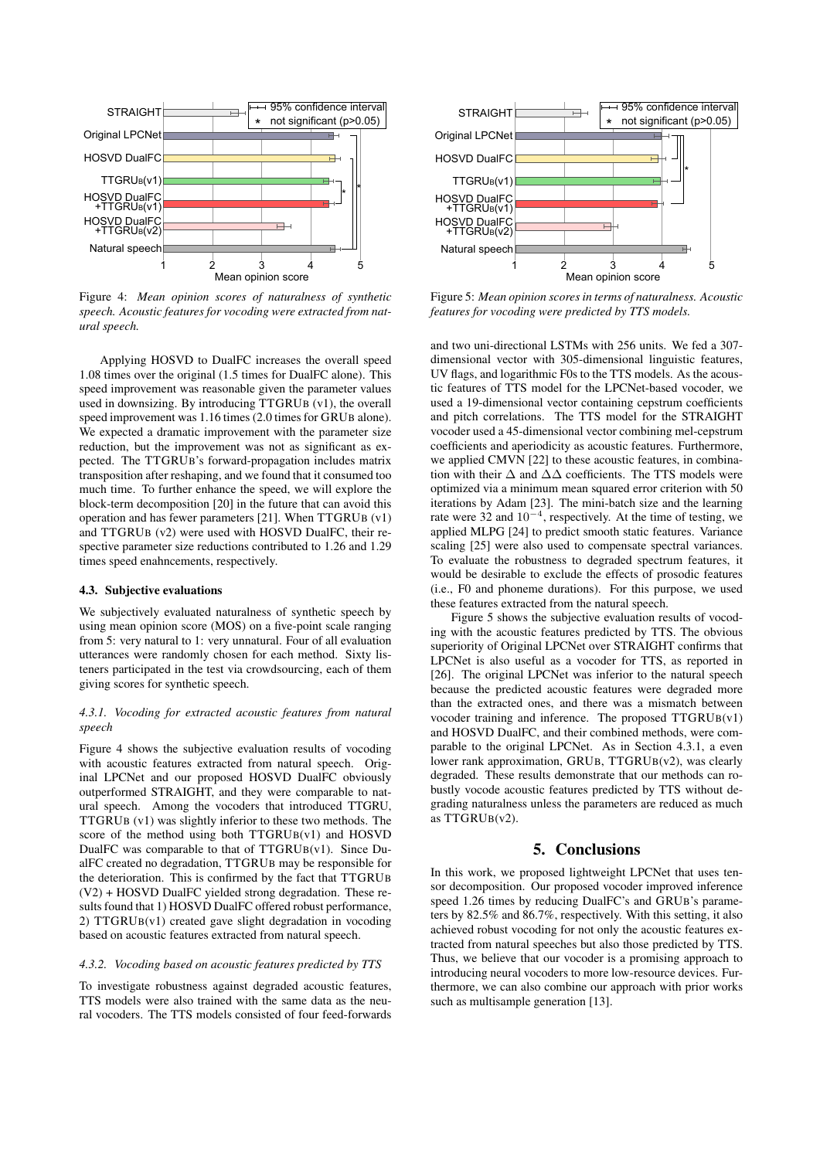

Figure 4: *Mean opinion scores of naturalness of synthetic speech. Acoustic features for vocoding were extracted from natural speech.*

Applying HOSVD to DualFC increases the overall speed 1.08 times over the original (1.5 times for DualFC alone). This speed improvement was reasonable given the parameter values used in downsizing. By introducing TTGRUB (v1), the overall speed improvement was 1.16 times (2.0 times for GRUB alone). We expected a dramatic improvement with the parameter size reduction, but the improvement was not as significant as expected. The TTGRUB's forward-propagation includes matrix transposition after reshaping, and we found that it consumed too much time. To further enhance the speed, we will explore the block-term decomposition [20] in the future that can avoid this operation and has fewer parameters [21]. When TTGRUB (v1) and TTGRUB (v2) were used with HOSVD DualFC, their respective parameter size reductions contributed to 1.26 and 1.29 times speed enahncements, respectively.

#### 4.3. Subjective evaluations

We subjectively evaluated naturalness of synthetic speech by using mean opinion score (MOS) on a five-point scale ranging from 5: very natural to 1: very unnatural. Four of all evaluation utterances were randomly chosen for each method. Sixty listeners participated in the test via crowdsourcing, each of them giving scores for synthetic speech.

## *4.3.1. Vocoding for extracted acoustic features from natural speech*

Figure 4 shows the subjective evaluation results of vocoding with acoustic features extracted from natural speech. Original LPCNet and our proposed HOSVD DualFC obviously outperformed STRAIGHT, and they were comparable to natural speech. Among the vocoders that introduced TTGRU, TTGRUB (v1) was slightly inferior to these two methods. The score of the method using both TTGRUB(v1) and HOSVD DualFC was comparable to that of TTGRUB(v1). Since DualFC created no degradation, TTGRUB may be responsible for the deterioration. This is confirmed by the fact that TTGRUB (V2) + HOSVD DualFC yielded strong degradation. These results found that 1) HOSVD DualFC offered robust performance, 2) TTGRUB(v1) created gave slight degradation in vocoding based on acoustic features extracted from natural speech.

#### *4.3.2. Vocoding based on acoustic features predicted by TTS*

To investigate robustness against degraded acoustic features, TTS models were also trained with the same data as the neural vocoders. The TTS models consisted of four feed-forwards



Figure 5: *Mean opinion scores in terms of naturalness. Acoustic features for vocoding were predicted by TTS models.*

and two uni-directional LSTMs with 256 units. We fed a 307 dimensional vector with 305-dimensional linguistic features, UV flags, and logarithmic F0s to the TTS models. As the acoustic features of TTS model for the LPCNet-based vocoder, we used a 19-dimensional vector containing cepstrum coefficients and pitch correlations. The TTS model for the STRAIGHT vocoder used a 45-dimensional vector combining mel-cepstrum coefficients and aperiodicity as acoustic features. Furthermore, we applied CMVN [22] to these acoustic features, in combination with their  $\Delta$  and  $\Delta\Delta$  coefficients. The TTS models were optimized via a minimum mean squared error criterion with 50 iterations by Adam [23]. The mini-batch size and the learning rate were 32 and 10*−*<sup>4</sup> , respectively. At the time of testing, we applied MLPG [24] to predict smooth static features. Variance scaling [25] were also used to compensate spectral variances. To evaluate the robustness to degraded spectrum features, it would be desirable to exclude the effects of prosodic features (i.e., F0 and phoneme durations). For this purpose, we used these features extracted from the natural speech.

Figure 5 shows the subjective evaluation results of vocoding with the acoustic features predicted by TTS. The obvious superiority of Original LPCNet over STRAIGHT confirms that LPCNet is also useful as a vocoder for TTS, as reported in [26]. The original LPCNet was inferior to the natural speech because the predicted acoustic features were degraded more than the extracted ones, and there was a mismatch between vocoder training and inference. The proposed TTGRUB(v1) and HOSVD DualFC, and their combined methods, were comparable to the original LPCNet. As in Section 4.3.1, a even lower rank approximation, GRUB, TTGRUB(v2), was clearly degraded. These results demonstrate that our methods can robustly vocode acoustic features predicted by TTS without degrading naturalness unless the parameters are reduced as much as TTGRUB(v2).

## 5. Conclusions

In this work, we proposed lightweight LPCNet that uses tensor decomposition. Our proposed vocoder improved inference speed 1.26 times by reducing DualFC's and GRUB's parameters by 82.5% and 86.7%, respectively. With this setting, it also achieved robust vocoding for not only the acoustic features extracted from natural speeches but also those predicted by TTS. Thus, we believe that our vocoder is a promising approach to introducing neural vocoders to more low-resource devices. Furthermore, we can also combine our approach with prior works such as multisample generation [13].